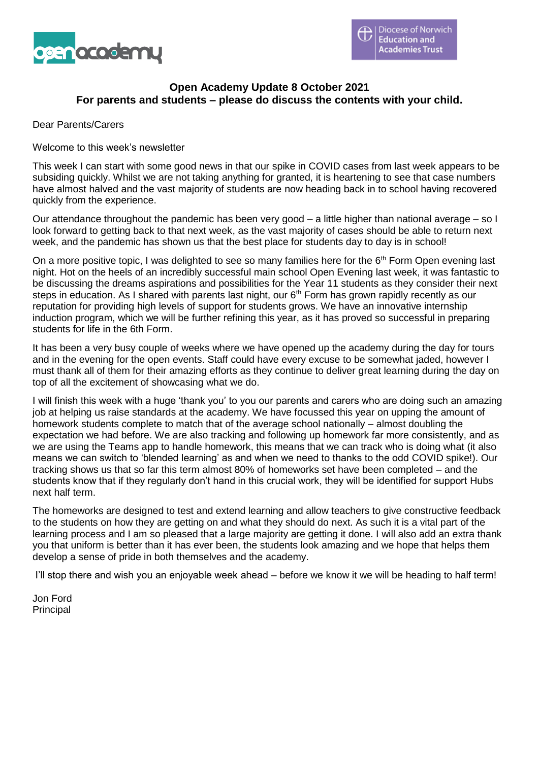

### **Open Academy Update 8 October 2021 For parents and students – please do discuss the contents with your child.**

Dear Parents/Carers

Welcome to this week's newsletter

This week I can start with some good news in that our spike in COVID cases from last week appears to be subsiding quickly. Whilst we are not taking anything for granted, it is heartening to see that case numbers have almost halved and the vast majority of students are now heading back in to school having recovered quickly from the experience.

Our attendance throughout the pandemic has been very good – a little higher than national average – so I look forward to getting back to that next week, as the vast majority of cases should be able to return next week, and the pandemic has shown us that the best place for students day to day is in school!

On a more positive topic, I was delighted to see so many families here for the  $6<sup>th</sup>$  Form Open evening last night. Hot on the heels of an incredibly successful main school Open Evening last week, it was fantastic to be discussing the dreams aspirations and possibilities for the Year 11 students as they consider their next steps in education. As I shared with parents last night, our 6<sup>th</sup> Form has grown rapidly recently as our reputation for providing high levels of support for students grows. We have an innovative internship induction program, which we will be further refining this year, as it has proved so successful in preparing students for life in the 6th Form.

It has been a very busy couple of weeks where we have opened up the academy during the day for tours and in the evening for the open events. Staff could have every excuse to be somewhat jaded, however I must thank all of them for their amazing efforts as they continue to deliver great learning during the day on top of all the excitement of showcasing what we do.

I will finish this week with a huge 'thank you' to you our parents and carers who are doing such an amazing job at helping us raise standards at the academy. We have focussed this year on upping the amount of homework students complete to match that of the average school nationally – almost doubling the expectation we had before. We are also tracking and following up homework far more consistently, and as we are using the Teams app to handle homework, this means that we can track who is doing what (it also means we can switch to 'blended learning' as and when we need to thanks to the odd COVID spike!). Our tracking shows us that so far this term almost 80% of homeworks set have been completed – and the students know that if they regularly don't hand in this crucial work, they will be identified for support Hubs next half term.

The homeworks are designed to test and extend learning and allow teachers to give constructive feedback to the students on how they are getting on and what they should do next. As such it is a vital part of the learning process and I am so pleased that a large majority are getting it done. I will also add an extra thank you that uniform is better than it has ever been, the students look amazing and we hope that helps them develop a sense of pride in both themselves and the academy.

I'll stop there and wish you an enjoyable week ahead – before we know it we will be heading to half term!

Jon Ford Principal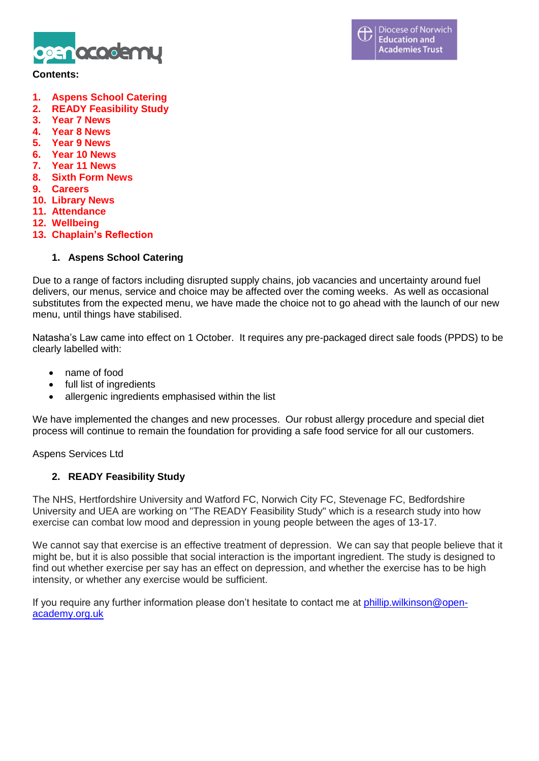

#### **Contents:**

- **1. Aspens School Catering**
- **2. READY Feasibility Study**
- **3. Year 7 News**
- **4. Year 8 News**
- **5. Year 9 News**
- **6. Year 10 News**
- **7. Year 11 News**
- **8. Sixth Form News**
- **9. Careers**
- **10. Library News**
- **11. Attendance**
- **12. Wellbeing**
- **13. Chaplain's Reflection**

### **1. Aspens School Catering**

Due to a range of factors including disrupted supply chains, job vacancies and uncertainty around fuel delivers, our menus, service and choice may be affected over the coming weeks. As well as occasional substitutes from the expected menu, we have made the choice not to go ahead with the launch of our new menu, until things have stabilised.

Natasha's Law came into effect on 1 October. It requires any pre-packaged direct sale foods (PPDS) to be clearly labelled with:

- name of food
- full list of ingredients
- allergenic ingredients emphasised within the list

We have implemented the changes and new processes. Our robust allergy procedure and special diet process will continue to remain the foundation for providing a safe food service for all our customers.

Aspens Services Ltd

### **2. READY Feasibility Study**

The NHS, Hertfordshire University and Watford FC, Norwich City FC, Stevenage FC, Bedfordshire University and UEA are working on "The READY Feasibility Study" which is a research study into how exercise can combat low mood and depression in young people between the ages of 13-17.

We cannot say that exercise is an effective treatment of depression. We can say that people believe that it might be, but it is also possible that social interaction is the important ingredient. The study is designed to find out whether exercise per say has an effect on depression, and whether the exercise has to be high intensity, or whether any exercise would be sufficient.

If you require any further information please don't hesitate to contact me at [phillip.wilkinson@open](mailto:phillip.wilkinson@open-academy.org.uk)[academy.org.uk](mailto:phillip.wilkinson@open-academy.org.uk)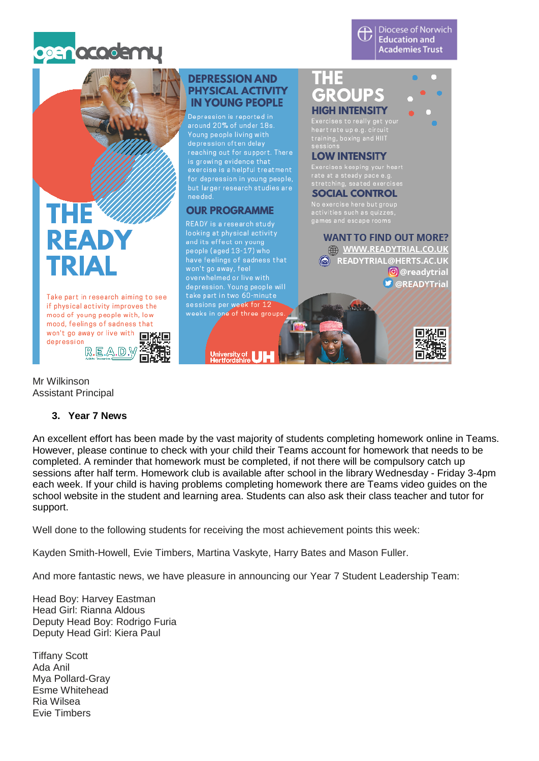





Mr Wilkinson Assistant Principal

#### **3. Year 7 News**

An excellent effort has been made by the vast majority of students completing homework online in Teams. However, please continue to check with your child their Teams account for homework that needs to be completed. A reminder that homework must be completed, if not there will be compulsory catch up sessions after half term. Homework club is available after school in the library Wednesday - Friday 3-4pm each week. If your child is having problems completing homework there are Teams video guides on the school website in the student and learning area. Students can also ask their class teacher and tutor for support.

Well done to the following students for receiving the most achievement points this week:

Kayden Smith-Howell, Evie Timbers, Martina Vaskyte, Harry Bates and Mason Fuller.

And more fantastic news, we have pleasure in announcing our Year 7 Student Leadership Team:

Head Boy: Harvey Eastman Head Girl: Rianna Aldous Deputy Head Boy: Rodrigo Furia Deputy Head Girl: Kiera Paul

Tiffany Scott Ada Anil Mya Pollard-Gray Esme Whitehead Ria Wilsea Evie Timbers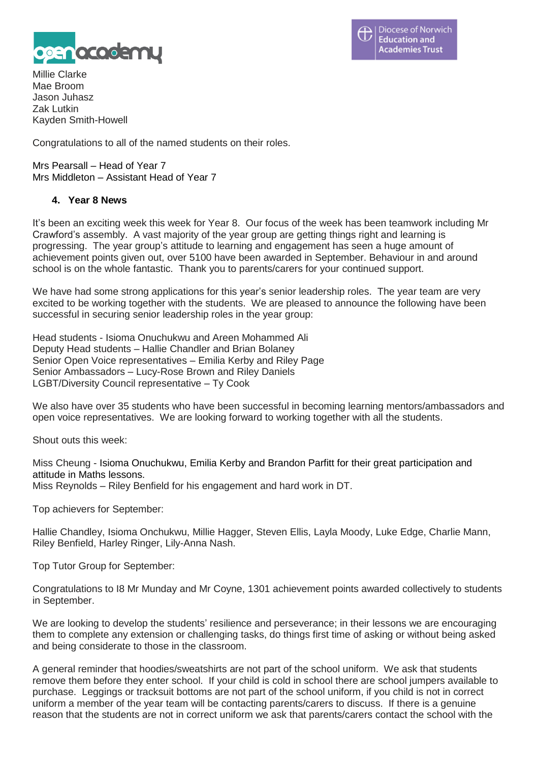

Diocese of Norwich **Education and Academies Trust** 

Millie Clarke Mae Broom Jason Juhasz Zak Lutkin Kayden Smith-Howell

Congratulations to all of the named students on their roles.

Mrs Pearsall – Head of Year 7 Mrs Middleton – Assistant Head of Year 7

### **4. Year 8 News**

It's been an exciting week this week for Year 8. Our focus of the week has been teamwork including Mr Crawford's assembly. A vast majority of the year group are getting things right and learning is progressing. The year group's attitude to learning and engagement has seen a huge amount of achievement points given out, over 5100 have been awarded in September. Behaviour in and around school is on the whole fantastic. Thank you to parents/carers for your continued support.

We have had some strong applications for this year's senior leadership roles. The year team are very excited to be working together with the students. We are pleased to announce the following have been successful in securing senior leadership roles in the year group:

Head students - Isioma Onuchukwu and Areen Mohammed Ali Deputy Head students – Hallie Chandler and Brian Bolaney Senior Open Voice representatives – Emilia Kerby and Riley Page Senior Ambassadors – Lucy-Rose Brown and Riley Daniels LGBT/Diversity Council representative – Ty Cook

We also have over 35 students who have been successful in becoming learning mentors/ambassadors and open voice representatives. We are looking forward to working together with all the students.

Shout outs this week:

Miss Cheung - Isioma Onuchukwu, Emilia Kerby and Brandon Parfitt for their great participation and attitude in Maths lessons. Miss Reynolds – Riley Benfield for his engagement and hard work in DT.

Top achievers for September:

Hallie Chandley, Isioma Onchukwu, Millie Hagger, Steven Ellis, Layla Moody, Luke Edge, Charlie Mann, Riley Benfield, Harley Ringer, Lily-Anna Nash.

Top Tutor Group for September:

Congratulations to I8 Mr Munday and Mr Coyne, 1301 achievement points awarded collectively to students in September.

We are looking to develop the students' resilience and perseverance; in their lessons we are encouraging them to complete any extension or challenging tasks, do things first time of asking or without being asked and being considerate to those in the classroom.

A general reminder that hoodies/sweatshirts are not part of the school uniform. We ask that students remove them before they enter school. If your child is cold in school there are school jumpers available to purchase. Leggings or tracksuit bottoms are not part of the school uniform, if you child is not in correct uniform a member of the year team will be contacting parents/carers to discuss. If there is a genuine reason that the students are not in correct uniform we ask that parents/carers contact the school with the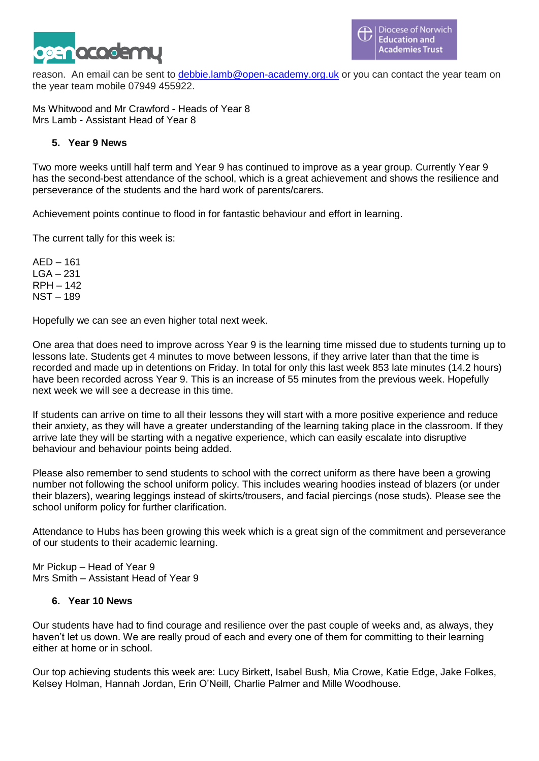

reason. An email can be sent to [debbie.lamb@open-academy.org.uk](mailto:debbie.lamb@open-academy.org.uk) or you can contact the year team on the year team mobile 07949 455922.

Ms Whitwood and Mr Crawford - Heads of Year 8 Mrs Lamb - Assistant Head of Year 8

### **5. Year 9 News**

Two more weeks untill half term and Year 9 has continued to improve as a year group. Currently Year 9 has the second-best attendance of the school, which is a great achievement and shows the resilience and perseverance of the students and the hard work of parents/carers.

Achievement points continue to flood in for fantastic behaviour and effort in learning.

The current tally for this week is:

 $AFD - 161$ LGA – 231 RPH – 142 NST – 189

Hopefully we can see an even higher total next week.

One area that does need to improve across Year 9 is the learning time missed due to students turning up to lessons late. Students get 4 minutes to move between lessons, if they arrive later than that the time is recorded and made up in detentions on Friday. In total for only this last week 853 late minutes (14.2 hours) have been recorded across Year 9. This is an increase of 55 minutes from the previous week. Hopefully next week we will see a decrease in this time.

If students can arrive on time to all their lessons they will start with a more positive experience and reduce their anxiety, as they will have a greater understanding of the learning taking place in the classroom. If they arrive late they will be starting with a negative experience, which can easily escalate into disruptive behaviour and behaviour points being added.

Please also remember to send students to school with the correct uniform as there have been a growing number not following the school uniform policy. This includes wearing hoodies instead of blazers (or under their blazers), wearing leggings instead of skirts/trousers, and facial piercings (nose studs). Please see the school uniform policy for further clarification.

Attendance to Hubs has been growing this week which is a great sign of the commitment and perseverance of our students to their academic learning.

Mr Pickup – Head of Year 9 Mrs Smith – Assistant Head of Year 9

### **6. Year 10 News**

Our students have had to find courage and resilience over the past couple of weeks and, as always, they haven't let us down. We are really proud of each and every one of them for committing to their learning either at home or in school.

Our top achieving students this week are: Lucy Birkett, Isabel Bush, Mia Crowe, Katie Edge, Jake Folkes, Kelsey Holman, Hannah Jordan, Erin O'Neill, Charlie Palmer and Mille Woodhouse.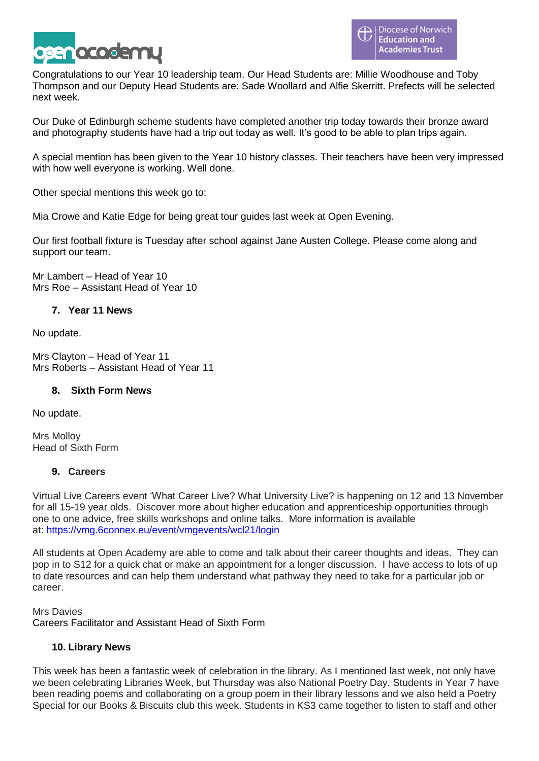

Congratulations to our Year 10 leadership team. Our Head Students are: Millie Woodhouse and Toby Thompson and our Deputy Head Students are: Sade Woollard and Alfie Skerritt. Prefects will be selected next week.

Our Duke of Edinburgh scheme students have completed another trip today towards their bronze award and photography students have had a trip out today as well. It's good to be able to plan trips again.

A special mention has been given to the Year 10 history classes. Their teachers have been very impressed with how well everyone is working. Well done.

Other special mentions this week go to:

Mia Crowe and Katie Edge for being great tour guides last week at Open Evening.

Our first football fixture is Tuesday after school against Jane Austen College. Please come along and support our team.

Mr Lambert – Head of Year 10 Mrs Roe – Assistant Head of Year 10

## **7. Year 11 News**

No update.

Mrs Clayton – Head of Year 11 Mrs Roberts – Assistant Head of Year 11

### **8. Sixth Form News**

No update.

Mrs Molloy Head of Sixth Form

### **9. Careers**

Virtual Live Careers event 'What Career Live? What University Live? is happening on 12 and 13 November for all 15-19 year olds. Discover more about higher education and apprenticeship opportunities through one to one advice, free skills workshops and online talks. More information is available at: <https://vmg.6connex.eu/event/vmgevents/wcl21/login>

All students at Open Academy are able to come and talk about their career thoughts and ideas. They can pop in to S12 for a quick chat or make an appointment for a longer discussion. I have access to lots of up to date resources and can help them understand what pathway they need to take for a particular job or career.

Mrs Davies Careers Facilitator and Assistant Head of Sixth Form

### **10. Library News**

This week has been a fantastic week of celebration in the library. As I mentioned last week, not only have we been celebrating Libraries Week, but Thursday was also National Poetry Day. Students in Year 7 have been reading poems and collaborating on a group poem in their library lessons and we also held a Poetry Special for our Books & Biscuits club this week. Students in KS3 came together to listen to staff and other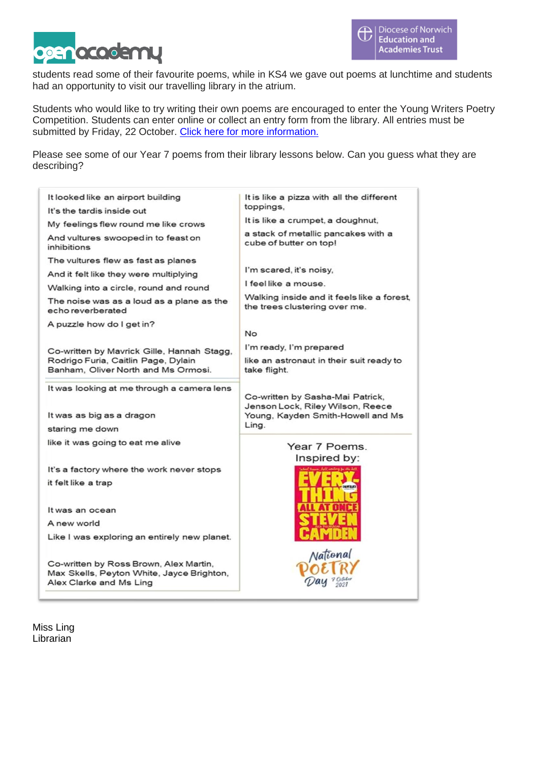

students read some of their favourite poems, while in KS4 we gave out poems at lunchtime and students had an opportunity to visit our travelling library in the atrium.

Students who would like to try writing their own poems are encouraged to enter the Young Writers Poetry Competition. Students can enter online or collect an entry form from the library. All entries must be submitted by Friday, 22 October. Click here for more [information.](https://www.youngwriters.co.uk/competitions/KS3-4/empowered?view=ind)

Please see some of our Year 7 poems from their library lessons below. Can you guess what they are describing?

| It looked like an airport building                                                                             | It is like a pizza with all the different                                   |
|----------------------------------------------------------------------------------------------------------------|-----------------------------------------------------------------------------|
| It's the tardis inside out                                                                                     | toppings,                                                                   |
| My feelings flew round me like crows                                                                           | It is like a crumpet, a doughnut,                                           |
| And vultures swooped in to feast on<br>inhibitions                                                             | a stack of metallic pancakes with a<br>cube of butter on top!               |
| The vultures flew as fast as planes                                                                            |                                                                             |
| And it felt like they were multiplying                                                                         | I'm scared, it's noisy,                                                     |
| Walking into a circle, round and round                                                                         | I feel like a mouse.                                                        |
| The noise was as a loud as a plane as the<br>echo reverberated                                                 | Walking inside and it feels like a forest,<br>the trees clustering over me. |
| A puzzle how do I get in?                                                                                      |                                                                             |
|                                                                                                                | <b>No</b>                                                                   |
| Co-written by Mavrick Gille, Hannah Stagg,                                                                     | I'm ready, I'm prepared                                                     |
| Rodrigo Furia, Caitlin Page, Dylain<br>Banham, Oliver North and Ms Ormosi.                                     | like an astronaut in their suit ready to<br>take flight.                    |
| It was looking at me through a camera lens                                                                     | Co-written by Sasha-Mai Patrick,                                            |
|                                                                                                                | Jenson Lock, Riley Wilson, Reece                                            |
| It was as big as a dragon                                                                                      | Young, Kayden Smith-Howell and Ms<br>Ling.                                  |
| staring me down                                                                                                |                                                                             |
| like it was going to eat me alive                                                                              | Year 7 Poems.<br>Inspired by:                                               |
| It's a factory where the work never stops                                                                      |                                                                             |
| it felt like a trap                                                                                            |                                                                             |
| It was an ocean                                                                                                |                                                                             |
| A new world                                                                                                    |                                                                             |
| Like I was exploring an entirely new planet.                                                                   |                                                                             |
| Co-written by Ross Brown, Alex Martin,<br>Max Skells, Peyton White, Jayce Brighton,<br>Alex Clarke and Ms Ling | Vational                                                                    |

Miss Ling **Librarian**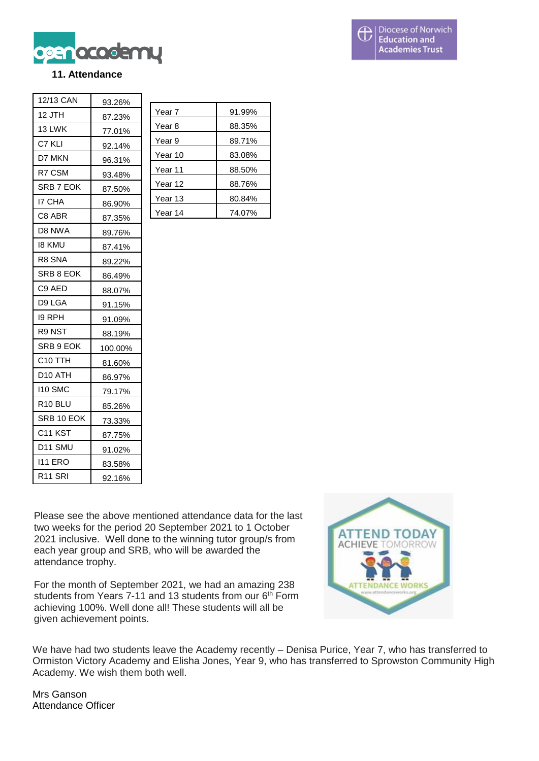

 $\overline{\mathbf{r}}$ 

## **11. Attendance**

| 12/13 CAN           | 93.26%  |
|---------------------|---------|
| 12 JTH              | 87.23%  |
| 13 LWK              | 77.01%  |
| C7 KLI              | 92.14%  |
| D7 MKN              | 96.31%  |
| R7 CSM              | 93.48%  |
| SRB 7 EOK           | 87.50%  |
| I7 CHA              | 86.90%  |
| C8 ABR              | 87.35%  |
| D8 NWA              | 89.76%  |
| 18 KMU              | 87.41%  |
| R8 SNA              | 89.22%  |
| SRB 8 EOK           | 86.49%  |
| C9 AED              | 88.07%  |
| D9 LGA              | 91.15%  |
| 19 RPH              | 91.09%  |
| R9 NST              | 88.19%  |
| SRB 9 EOK           | 100.00% |
| C10 TTH             | 81.60%  |
| D <sub>10</sub> ATH | 86.97%  |
| <b>110 SMC</b>      | 79.17%  |
| R <sub>10</sub> BLU | 85.26%  |
| SRB 10 EOK          | 73.33%  |
| C11 KST             | 87.75%  |
| D11 SMU             | 91.02%  |
| <b>111 ERO</b>      | 83.58%  |
| R <sub>11</sub> SRI | 92.16%  |
|                     |         |

| Year 7  | 91.99% |
|---------|--------|
| Year 8  | 88.35% |
| Year 9  | 89.71% |
| Year 10 | 83.08% |
| Year 11 | 88.50% |
| Year 12 | 88.76% |
| Year 13 | 80.84% |
| Year 14 | 74.07% |

Please see the above mentioned attendance data for the last two weeks for the period 20 September 2021 to 1 October 2021 inclusive. Well done to the winning tutor group/s from each year group and SRB, who will be awarded the attendance trophy.

For the month of September 2021, we had an amazing 238 students from Years 7-11 and 13 students from our 6<sup>th</sup> Form achieving 100%. Well done all! These students will all be given achievement points.



We have had two students leave the Academy recently – Denisa Purice, Year 7, who has transferred to Ormiston Victory Academy and Elisha Jones, Year 9, who has transferred to Sprowston Community High Academy. We wish them both well.

Mrs Ganson Attendance Officer

**Diocese of Norwich**  $\bigoplus$ **Education and Academies Trust**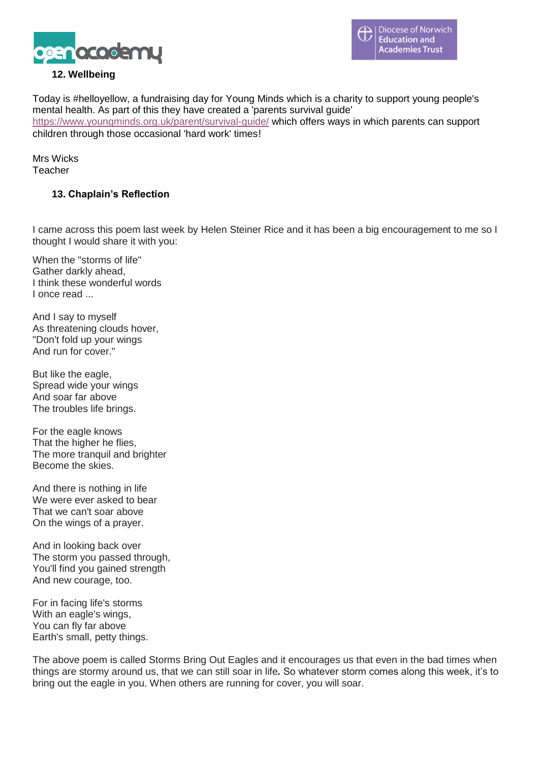

# **12. Wellbeing**

Today is #helloyellow, a fundraising day for Young Minds which is a charity to support young people's mental health. As part of this they have created a 'parents survival guide' <https://www.youngminds.org.uk/parent/survival-guide/> which offers ways in which parents can support children through those occasional 'hard work' times!

Mrs Wicks Teacher

### **13. Chaplain's Reflection**

I came across this poem last week by Helen Steiner Rice and it has been a big encouragement to me so I thought I would share it with you:

When the "storms of life" Gather darkly ahead, I think these wonderful words I once read ...

And I say to myself As threatening clouds hover, "Don't fold up your wings And run for cover."

But like the eagle, Spread wide your wings And soar far above The troubles life brings.

For the eagle knows That the higher he flies, The more tranquil and brighter Become the skies.

And there is nothing in life We were ever asked to bear That we can't soar above On the wings of a prayer.

And in looking back over The storm you passed through, You'll find you gained strength And new courage, too.

For in facing life's storms With an eagle's wings, You can fly far above Earth's small, petty things.

The above poem is called Storms Bring Out Eagles and it encourages us that even in the bad times when things are stormy around us, that we can still soar in life*.* So whatever storm comes along this week, it's to bring out the eagle in you. When others are running for cover, you will soar.